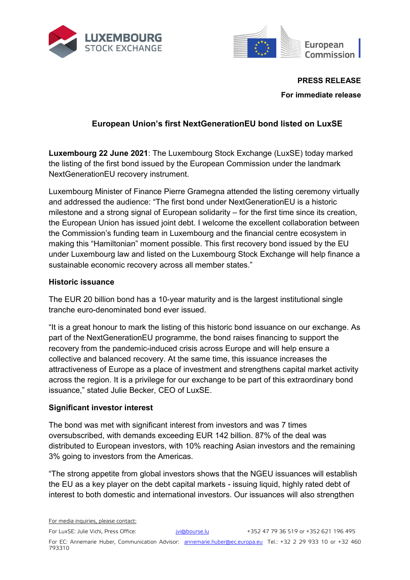



**PRESS RELEASE**

**For immediate release**

# **European Union's first NextGenerationEU bond listed on LuxSE**

**Luxembourg 22 June 2021**: The Luxembourg Stock Exchange (LuxSE) today marked the listing of the first bond issued by the European Commission under the landmark NextGenerationEU recovery instrument.

Luxembourg Minister of Finance Pierre Gramegna attended the listing ceremony virtually and addressed the audience: "The first bond under NextGenerationEU is a historic milestone and a strong signal of European solidarity – for the first time since its creation, the European Union has issued joint debt. I welcome the excellent collaboration between the Commission's funding team in Luxembourg and the financial centre ecosystem in making this "Hamiltonian" moment possible. This first recovery bond issued by the EU under Luxembourg law and listed on the Luxembourg Stock Exchange will help finance a sustainable economic recovery across all member states."

# **Historic issuance**

The EUR 20 billion bond has a 10-year maturity and is the largest institutional single tranche euro-denominated bond ever issued.

"It is a great honour to mark the listing of this historic bond issuance on our exchange. As part of the NextGenerationEU programme, the bond raises financing to support the recovery from the pandemic-induced crisis across Europe and will help ensure a collective and balanced recovery. At the same time, this issuance increases the attractiveness of Europe as a place of investment and strengthens capital market activity across the region. It is a privilege for our exchange to be part of this extraordinary bond issuance," stated Julie Becker, CEO of LuxSE.

# **Significant investor interest**

The bond was met with significant interest from investors and was 7 times oversubscribed, with demands exceeding EUR 142 billion. 87% of the deal was distributed to European investors, with 10% reaching Asian investors and the remaining 3% going to investors from the Americas.

"The strong appetite from global investors shows that the NGEU issuances will establish the EU as a key player on the debt capital markets - issuing liquid, highly rated debt of interest to both domestic and international investors. Our issuances will also strengthen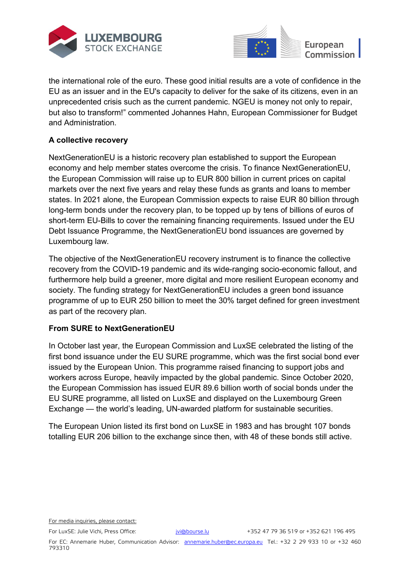



the international role of the euro. These good initial results are a vote of confidence in the EU as an issuer and in the EU's capacity to deliver for the sake of its citizens, even in an unprecedented crisis such as the current pandemic. NGEU is money not only to repair, but also to transform!" commented Johannes Hahn, European Commissioner for Budget and Administration.

# **A collective recovery**

NextGenerationEU is a historic recovery plan established to support the European economy and help member states overcome the crisis. To finance NextGenerationEU, the European Commission will raise up to EUR 800 billion in current prices on capital markets over the next five years and relay these funds as grants and loans to member states. In 2021 alone, the European Commission expects to raise EUR 80 billion through long-term bonds under the recovery plan, to be topped up by tens of billions of euros of short-term EU-Bills to cover the remaining financing requirements. Issued under the EU Debt Issuance Programme, the NextGenerationEU bond issuances are governed by Luxembourg law.

The objective of the NextGenerationEU recovery instrument is to finance the collective recovery from the COVID-19 pandemic and its wide-ranging socio-economic fallout, and furthermore help build a greener, more digital and more resilient European economy and society. The funding strategy for NextGenerationEU includes a green bond issuance programme of up to EUR 250 billion to meet the 30% target defined for green investment as part of the recovery plan.

# **From SURE to NextGenerationEU**

In October last year, the European Commission and LuxSE celebrated the listing of the first bond issuance under the EU SURE programme, which was the first social bond ever issued by the European Union. This programme raised financing to support jobs and workers across Europe, heavily impacted by the global pandemic. Since October 2020, the European Commission has issued EUR 89.6 billion worth of social bonds under the EU SURE programme, all listed on LuxSE and displayed on the Luxembourg Green Exchange — the world's leading, UN-awarded platform for sustainable securities.

The European Union listed its first bond on LuxSE in 1983 and has brought 107 bonds totalling EUR 206 billion to the exchange since then, with 48 of these bonds still active.